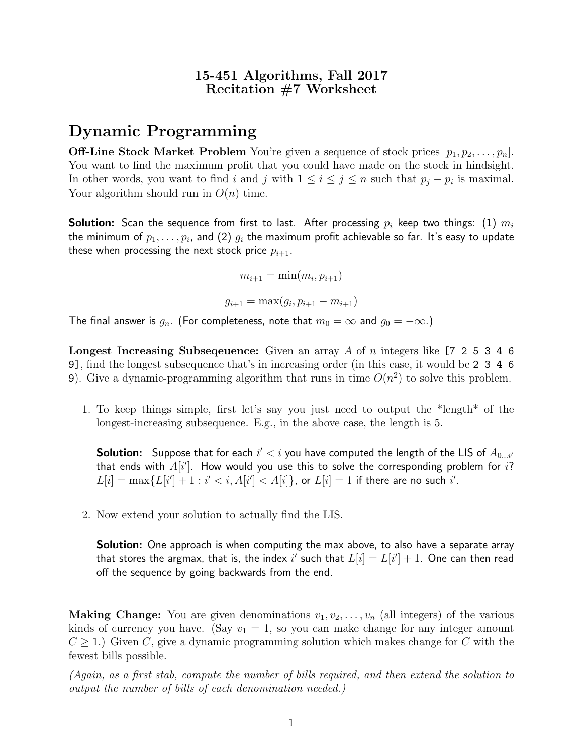## Dynamic Programming

**Off-Line Stock Market Problem** You're given a sequence of stock prices  $[p_1, p_2, \ldots, p_n]$ . You want to find the maximum profit that you could have made on the stock in hindsight. In other words, you want to find i and j with  $1 \leq i \leq j \leq n$  such that  $p_j - p_i$  is maximal. Your algorithm should run in  $O(n)$  time.

**Solution:** Scan the sequence from first to last. After processing  $p_i$  keep two things: (1)  $m_i$ the minimum of  $p_1,\ldots,p_i$ , and (2)  $g_i$  the maximum profit achievable so far. It's easy to update these when processing the next stock price  $p_{i+1}$ .

$$
m_{i+1} = \min(m_i, p_{i+1})
$$

$$
g_{i+1} = \max(g_i, p_{i+1} - m_{i+1})
$$

The final answer is  $g_n$ . (For completeness, note that  $m_0 = \infty$  and  $g_0 = -\infty$ .)

**Longest Increasing Subsequence:** Given an array A of n integers like  $[7 \ 2 \ 5 \ 3 \ 4 \ 6]$ 9], find the longest subsequence that's in increasing order (in this case, it would be 2 3 4 6 9). Give a dynamic-programming algorithm that runs in time  $O(n^2)$  to solve this problem.

1. To keep things simple, first let's say you just need to output the \*length\* of the longest-increasing subsequence. E.g., in the above case, the length is 5.

 ${\sf Solution}\colon~$  Suppose that for each  $i'< i$  you have computed the length of the LIS of  $A_{0...i'}$ that ends with  $A[i']$ . How would you use this to solve the corresponding problem for  $i$ ?  $L[i] = \max\{L[i'] + 1 : i' < i, A[i'] < A[i]\}$ , or  $L[i] = 1$  if there are no such i'.

2. Now extend your solution to actually find the LIS.

**Solution:** One approach is when computing the max above, to also have a separate array that stores the argmax, that is, the index  $i'$  such that  $L[i] = L[i'] + 1.$  One can then read off the sequence by going backwards from the end.

**Making Change:** You are given denominations  $v_1, v_2, \ldots, v_n$  (all integers) of the various kinds of currency you have. (Say  $v_1 = 1$ , so you can make change for any integer amount  $C \geq 1$ .) Given C, give a dynamic programming solution which makes change for C with the fewest bills possible.

(Again, as a first stab, compute the number of bills required, and then extend the solution to output the number of bills of each denomination needed.)